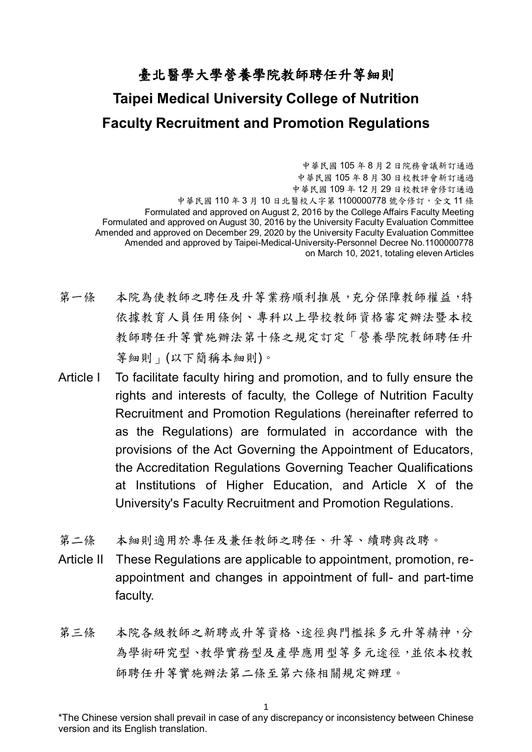## 臺北醫學大學營養學院教師聘任升等細則 **Taipei Medical University College of Nutrition Faculty Recruitment and Promotion Regulations**

中華民國 105 年 8 月 2 日院務會議新訂通過 中華民國 105 年 8 月 30 日校教評會新訂通過 中華民國 109 年 12 月 29 日校教評會修訂通過 中華民國 110年3月10日北醫校人字第1100000778號令修訂,全文11條 Formulated and approved on August 2, 2016 by the College Affairs Faculty Meeting Formulated and approved on August 30, 2016 by the University Faculty Evaluation Committee Amended and approved on December 29, 2020 by the University Faculty Evaluation Committee Amended and approved by Taipei-Medical-University-Personnel Decree No.1100000778 on March 10, 2021, totaling eleven Articles

- 第一條 本院為使教師之聘任及升等業務順利推展,充分保障教師權益,特 依據教育人員任用條例、專科以上學校教師資格審定辦法暨本校 教師聘任升等實施辦法第十條之規定訂定「營養學院教師聘任升 等細則」(以下簡稱本細則)。
- Article I To facilitate faculty hiring and promotion, and to fully ensure the rights and interests of faculty, the College of Nutrition Faculty Recruitment and Promotion Regulations (hereinafter referred to as the Regulations) are formulated in accordance with the provisions of the Act Governing the Appointment of Educators, the Accreditation Regulations Governing Teacher Qualifications at Institutions of Higher Education, and Article X of the University's Faculty Recruitment and Promotion Regulations.
- 第二條 本細則適用於專任及兼任教師之聘任、升等、續聘與改聘。
- Article II These Regulations are applicable to appointment, promotion, reappointment and changes in appointment of full- and part-time faculty.
- 第三條 本院各級教師之新聘或升等資格、途徑與門檻採多元升等精神,分 為學術研究型、教學實務型及產學應用型等多元途徑,並依本校教 師聘任升等實施辦法第二條至第六條相關規定辦理。

1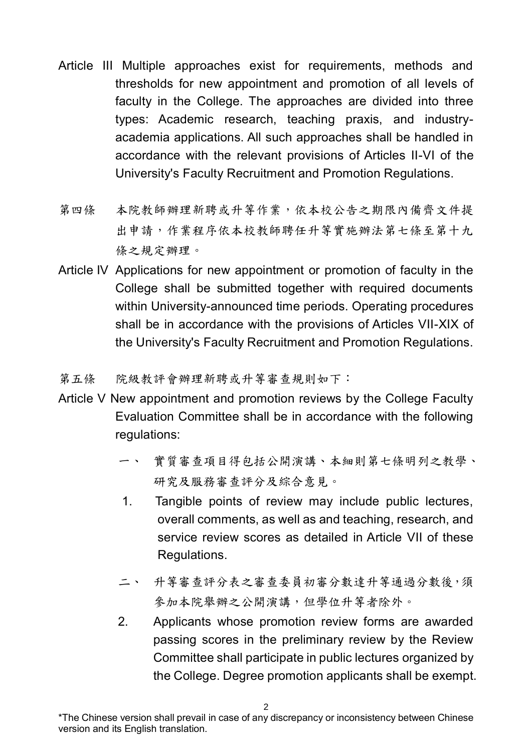- Article III Multiple approaches exist for requirements, methods and thresholds for new appointment and promotion of all levels of faculty in the College. The approaches are divided into three types: Academic research, teaching praxis, and industryacademia applications. All such approaches shall be handled in accordance with the relevant provisions of Articles II-VI of the University's Faculty Recruitment and Promotion Regulations.
- 第四條 本院教師辦理新聘或升等作業,依本校公告之期限內備齊文件提 出申請,作業程序依本校教師聘任升等實施辦法第七條至第十九 條之規定辦理。
- Article IV Applications for new appointment or promotion of faculty in the College shall be submitted together with required documents within University-announced time periods. Operating procedures shall be in accordance with the provisions of Articles VII-XIX of the University's Faculty Recruitment and Promotion Regulations.
- 第五條 院級教評會辦理新聘或升等審查規則如下:
- Article V New appointment and promotion reviews by the College Faculty Evaluation Committee shall be in accordance with the following regulations:
	- 一、 實質審查項目得包括公開演講、本細則第七條明列之教學、 研究及服務審查評分及綜合意見。
	- 1. Tangible points of review may include public lectures, overall comments, as well as and teaching, research, and service review scores as detailed in Article VII of these Regulations.
	- 二、 升等審查評分表之審查委員初審分數達升等通過分數後,須 參加本院舉辦之公開演講,但學位升等者除外。
	- 2. Applicants whose promotion review forms are awarded passing scores in the preliminary review by the Review Committee shall participate in public lectures organized by the College. Degree promotion applicants shall be exempt.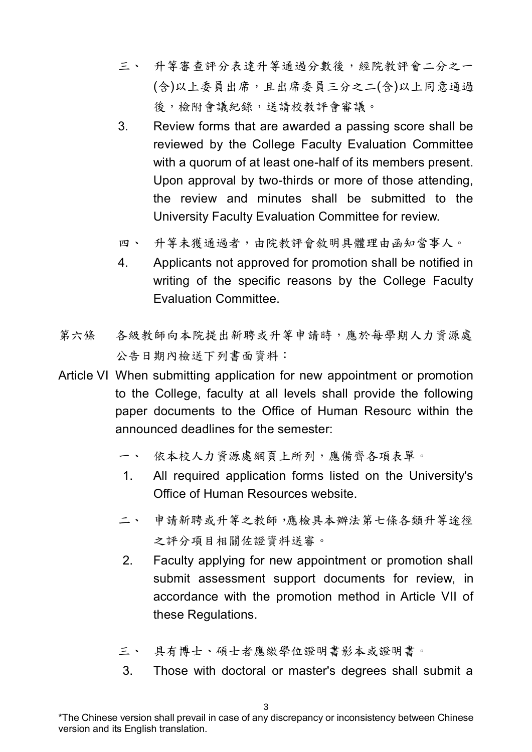- 三、 升等審查評分表達升等通過分數後,經院教評會二分之一 (含)以上委員出席,且出席委員三分之二(含)以上同意通過 後,檢附會議紀錄,送請校教評會審議。
- 3. Review forms that are awarded a passing score shall be reviewed by the College Faculty Evaluation Committee with a quorum of at least one-half of its members present. Upon approval by two-thirds or more of those attending, the review and minutes shall be submitted to the University Faculty Evaluation Committee for review.
- 四、 升等未獲通過者,由院教評會敘明具體理由函知當事人。
- 4. Applicants not approved for promotion shall be notified in writing of the specific reasons by the College Faculty Evaluation Committee.
- 第六條 各級教師向本院提出新聘或升等申請時,應於每學期人力資源處 公告日期內檢送下列書面資料:
- Article VI When submitting application for new appointment or promotion to the College, faculty at all levels shall provide the following paper documents to the Office of Human Resourc within the announced deadlines for the semester:
	- 一、 依本校人力資源處網頁上所列,應備齊各項表單。
	- 1. All required application forms listed on the University's Office of Human Resources website.
	- 二、 申請新聘或升等之教師,應檢具本辦法第七條各類升等途徑 之評分項目相關佐證資料送審。
	- 2. Faculty applying for new appointment or promotion shall submit assessment support documents for review, in accordance with the promotion method in Article VII of these Regulations.
	- 三、 具有博士、碩士者應繳學位證明書影本或證明書。
	- 3. Those with doctoral or master's degrees shall submit a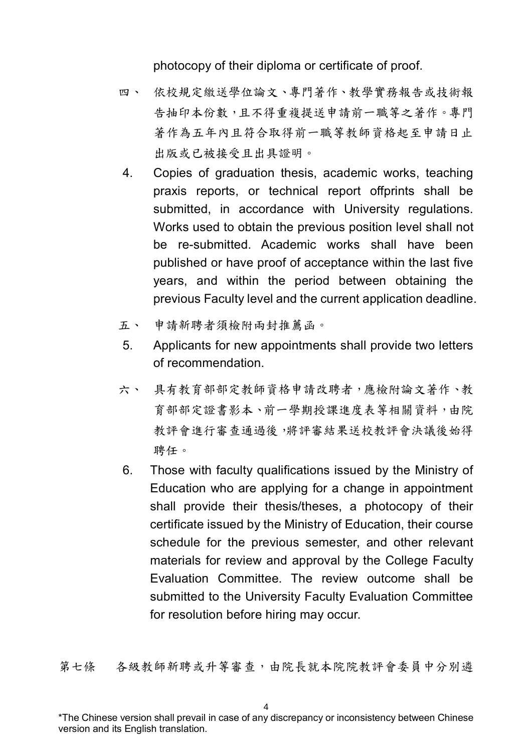photocopy of their diploma or certificate of proof.

- 四、 依校規定繳送學位論文、專門著作、教學實務報告或技術報 告抽印本份數,且不得重複提送申請前一職等之著作。專門 著作為五年內且符合取得前一職等教師資格起至申請日止 出版或已被接受且出具證明。
- 4. Copies of graduation thesis, academic works, teaching praxis reports, or technical report offprints shall be submitted, in accordance with University regulations. Works used to obtain the previous position level shall not be re-submitted. Academic works shall have been published or have proof of acceptance within the last five years, and within the period between obtaining the previous Faculty level and the current application deadline.
- 五、 申請新聘者須檢附兩封推薦函。
- 5. Applicants for new appointments shall provide two letters of recommendation.
- 六、 具有教育部部定教師資格申請改聘者,應檢附論文著作、教 育部部定證書影本、前一學期授課進度表等相關資料,由院 教評會進行審查通過後,將評審結果送校教評會決議後始得 聘任。
- 6. Those with faculty qualifications issued by the Ministry of Education who are applying for a change in appointment shall provide their thesis/theses, a photocopy of their certificate issued by the Ministry of Education, their course schedule for the previous semester, and other relevant materials for review and approval by the College Faculty Evaluation Committee. The review outcome shall be submitted to the University Faculty Evaluation Committee for resolution before hiring may occur.

第七條 各級教師新聘或升等審查,由院長就本院院教評會委員中分別遴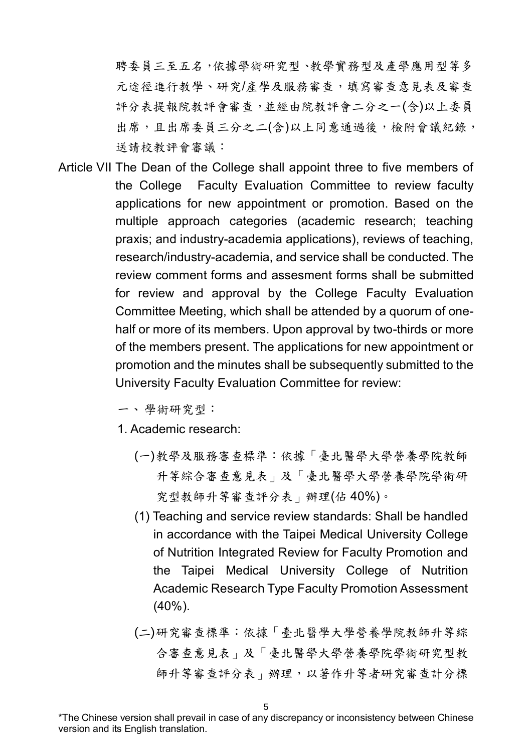聘委員三至五名,依據學術研究型、教學實務型及產學應用型等多 元途徑進行教學、研究/產學及服務審查,填寫審查意見表及審查 評分表提報院教評會審查,並經由院教評會二分之一(含)以上委員 出席,且出席委員三分之二(含)以上同意通過後,檢附會議紀錄, 送請校教評會審議:

Article VII The Dean of the College shall appoint three to five members of the College Faculty Evaluation Committee to review faculty applications for new appointment or promotion. Based on the multiple approach categories (academic research; teaching praxis; and industry-academia applications), reviews of teaching, research/industry-academia, and service shall be conducted. The review comment forms and assesment forms shall be submitted for review and approval by the College Faculty Evaluation Committee Meeting, which shall be attended by a quorum of onehalf or more of its members. Upon approval by two-thirds or more of the members present. The applications for new appointment or promotion and the minutes shall be subsequently submitted to the University Faculty Evaluation Committee for review:

一、學術研究型:

1. Academic research:

- (一)教學及服務審查標準:依據「臺北醫學大學營養學院教師 升等綜合審查意見表」及「臺北醫學大學營養學院學術研 究型教師升等審查評分表」辦理(佔 40%)。
- (1) Teaching and service review standards: Shall be handled in accordance with the Taipei Medical University College of Nutrition Integrated Review for Faculty Promotion and the Taipei Medical University College of Nutrition Academic Research Type Faculty Promotion Assessment (40%).
- (二)研究審查標準:依據「臺北醫學大學營養學院教師升等綜 合審查意見表」及「臺北醫學大學營養學院學術研究型教 師升等審查評分表」辦理,以著作升等者研究審查計分標

<sup>\*</sup>The Chinese version shall prevail in case of any discrepancy or inconsistency between Chinese version and its English translation.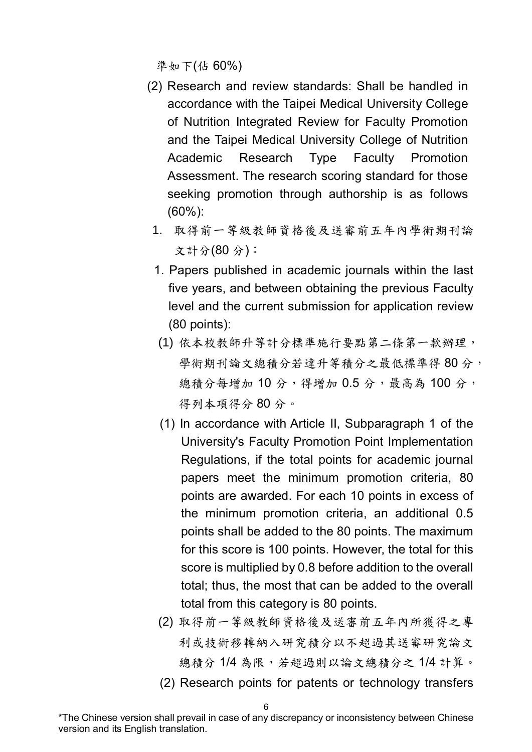準如下(佔 60%)

- (2) Research and review standards: Shall be handled in accordance with the Taipei Medical University College of Nutrition Integrated Review for Faculty Promotion and the Taipei Medical University College of Nutrition Academic Research Type Faculty Promotion Assessment. The research scoring standard for those seeking promotion through authorship is as follows (60%):
	- 1. 取得前一等級教師資格後及送審前五年內學術期刊論 文計分(80 分):
	- 1. Papers published in academic journals within the last five years, and between obtaining the previous Faculty level and the current submission for application review (80 points):
	- (1) 依本校教師升等計分標準施行要點第二條第一款辦理, 學術期刊論文總積分若達升等積分之最低標準得80分, 總積分每增加 10分,得增加 0.5分,最高為 100分, 得列本項得分 80 分。
	- (1) In accordance with Article II, Subparagraph 1 of the University's Faculty Promotion Point Implementation Regulations, if the total points for academic journal papers meet the minimum promotion criteria, 80 points are awarded. For each 10 points in excess of the minimum promotion criteria, an additional 0.5 points shall be added to the 80 points. The maximum for this score is 100 points. However, the total for this score is multiplied by 0.8 before addition to the overall total; thus, the most that can be added to the overall total from this category is 80 points.
	- (2) 取得前一等級教師資格後及送審前五年內所獲得之專 利或技術移轉納入研究積分以不超過其送審研究論文 總積分1/4為限,若超過則以論文總積分之1/4計算。

<sup>(2)</sup> Research points for patents or technology transfers

<sup>\*</sup>The Chinese version shall prevail in case of any discrepancy or inconsistency between Chinese version and its English translation.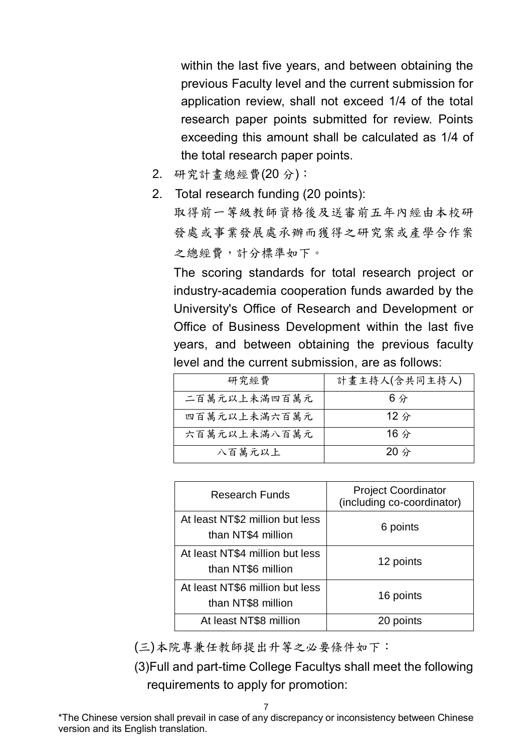within the last five years, and between obtaining the previous Faculty level and the current submission for application review, shall not exceed 1/4 of the total research paper points submitted for review. Points exceeding this amount shall be calculated as 1/4 of the total research paper points.

- 2. 研究計畫總經費(20 分):
- 2. Total research funding (20 points): 取得前一等級教師資格後及送審前五年內經由本校研 發處或事業發展處承辦而獲得之研究案或產學合作案 之總經費,計分標準如下。

The scoring standards for total research project or industry-academia cooperation funds awarded by the University's Office of Research and Development or Office of Business Development within the last five years, and between obtaining the previous faculty level and the current submission, are as follows:

| 研究經費         | 計畫主持人(含共同主持人)  |
|--------------|----------------|
| 二百萬元以上未滿四百萬元 | 6 <sub>分</sub> |
| 四百萬元以上未滿六百萬元 | $12$ 分         |
| 六百萬元以上未滿八百萬元 | 16 $\hat{\pi}$ |
| 八百萬元以上       | $20$ 分         |

| <b>Research Funds</b>                                 | <b>Project Coordinator</b><br>(including co-coordinator) |
|-------------------------------------------------------|----------------------------------------------------------|
| At least NT\$2 million but less<br>than NT\$4 million | 6 points                                                 |
| At least NT\$4 million but less<br>than NT\$6 million | 12 points                                                |
| At least NT\$6 million but less<br>than NT\$8 million | 16 points                                                |
| At least NT\$8 million                                | points                                                   |

(三)本院專兼任教師提出升等之必要條件如下:

(3)Full and part-time College Facultys shall meet the following requirements to apply for promotion: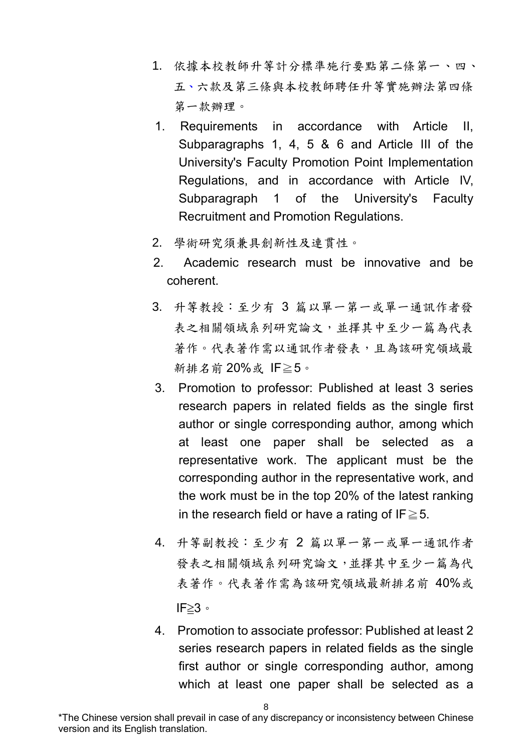- 1. 依據本校教師升等計分標準施行要點第二條第一、四、 五、六款及第三條與本校教師聘任升等實施辦法第四條 第一款辦理。
- 1. Requirements in accordance with Article II, Subparagraphs 1, 4, 5 & 6 and Article III of the University's Faculty Promotion Point Implementation Regulations, and in accordance with Article IV, Subparagraph 1 of the University's Faculty Recruitment and Promotion Regulations.
- 2. 學術研究須兼具創新性及連貫性。
- 2. Academic research must be innovative and be coherent.
- 3. 升等教授:至少有 3 篇以單一第一或單一通訊作者發 表之相關領域系列研究論文,並擇其中至少一篇為代表 著作。代表著作需以通訊作者發表,且為該研究領域最 新排名前 20%或 IF≧5。
- 3. Promotion to professor: Published at least 3 series research papers in related fields as the single first author or single corresponding author, among which at least one paper shall be selected as a representative work. The applicant must be the corresponding author in the representative work, and the work must be in the top 20% of the latest ranking in the research field or have a rating of IF $\geq$  5.
- 4. 升等副教授:至少有 2 篇以單一第一或單一通訊作者 發表之相關領域系列研究論文,並擇其中至少一篇為代 表著作。代表著作需為該研究領域最新排名前 40%或 IF≧3。
- 4. Promotion to associate professor: Published at least 2 series research papers in related fields as the single first author or single corresponding author, among which at least one paper shall be selected as a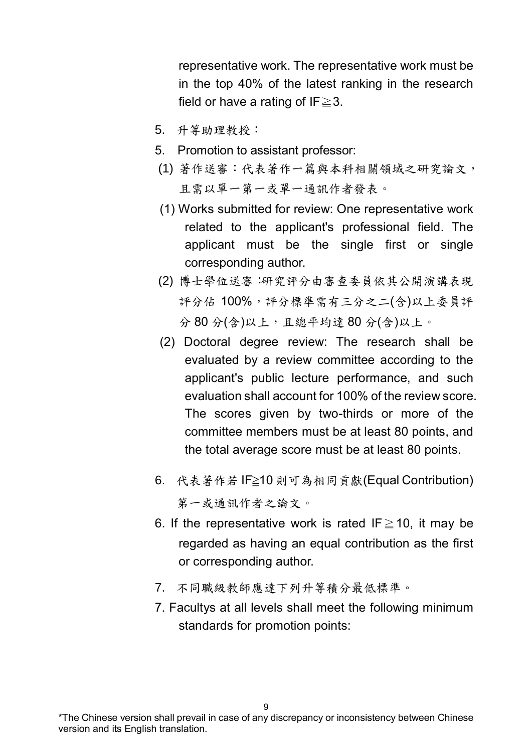representative work. The representative work must be in the top 40% of the latest ranking in the research field or have a rating of IF $\geq$ 3.

- 5. 升等助理教授:
- 5. Promotion to assistant professor:
- (1) 著作送審:代表著作一篇與本科相關領域之研究論文, 且需以單一第一或單一通訊作者發表。
- (1) Works submitted for review: One representative work related to the applicant's professional field. The applicant must be the single first or single corresponding author.
- (2) 博士學位送審:研究評分由審查委員依其公開演講表現 評分佔 100%,評分標準需有三分之二(含)以上委員評 分 80 分(含)以上,且總平均達 80 分(含)以上。
- (2) Doctoral degree review: The research shall be evaluated by a review committee according to the applicant's public lecture performance, and such evaluation shall account for 100% of the review score. The scores given by two-thirds or more of the committee members must be at least 80 points, and the total average score must be at least 80 points.
- 6. 代表著作若 IF≧10 則可為相同貢獻(Equal Contribution) 第一或通訊作者之論文。
- 6. If the representative work is rated IF $\geq$  10, it may be regarded as having an equal contribution as the first or corresponding author.
- 7. 不同職級教師應達下列升等積分最低標準。
- 7. Facultys at all levels shall meet the following minimum standards for promotion points: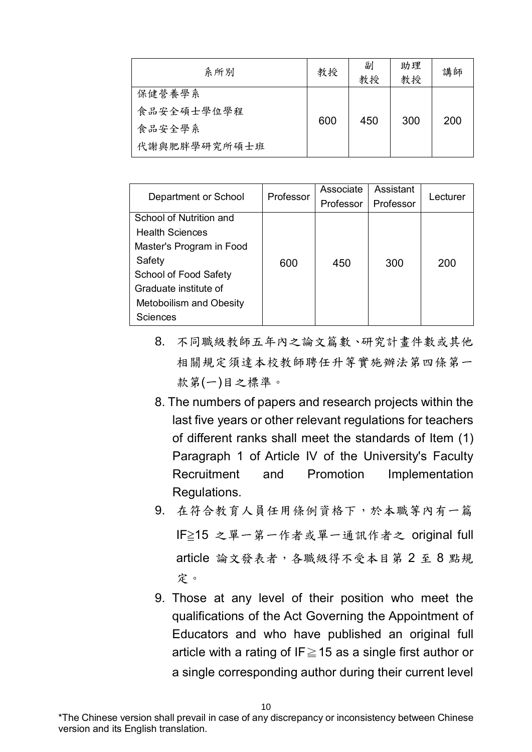| 系所別          | 教授  | 副<br>教授 | 助理<br>教授 | 講師  |
|--------------|-----|---------|----------|-----|
| 保健營養學系       |     |         |          |     |
| 食品安全碩士學位學程   | 600 | 450     | 300      | 200 |
| 食品安全學系       |     |         |          |     |
| 代謝與肥胖學研究所碩士班 |     |         |          |     |

| Department or School           | Professor | Associate | Assistant | Lecturer |  |
|--------------------------------|-----------|-----------|-----------|----------|--|
|                                |           | Professor | Professor |          |  |
| School of Nutrition and        |           |           |           |          |  |
| <b>Health Sciences</b>         |           |           |           |          |  |
| Master's Program in Food       |           |           |           |          |  |
| Safety                         | 600       | 450       | 300       | 200      |  |
| School of Food Safety          |           |           |           |          |  |
| Graduate institute of          |           |           |           |          |  |
| <b>Metoboilism and Obesity</b> |           |           |           |          |  |
| Sciences                       |           |           |           |          |  |

- 8. 不同職級教師五年內之論文篇數、研究計畫件數或其他 相關規定須達本校教師聘任升等實施辦法第四條第一 款第(一)目之標準。
- 8. The numbers of papers and research projects within the last five years or other relevant regulations for teachers of different ranks shall meet the standards of Item (1) Paragraph 1 of Article IV of the University's Faculty Recruitment and Promotion Implementation Regulations.
- 9. 在符合教育人員任用條例資格下,於本職等內有一篇 IF≧15 之單一第一作者或單一通訊作者之 original full article 論文發表者,各職級得不受本目第 2 至 8 點規 定。
- 9. Those at any level of their position who meet the qualifications of the Act Governing the Appointment of Educators and who have published an original full article with a rating of IF $\ge$  15 as a single first author or a single corresponding author during their current level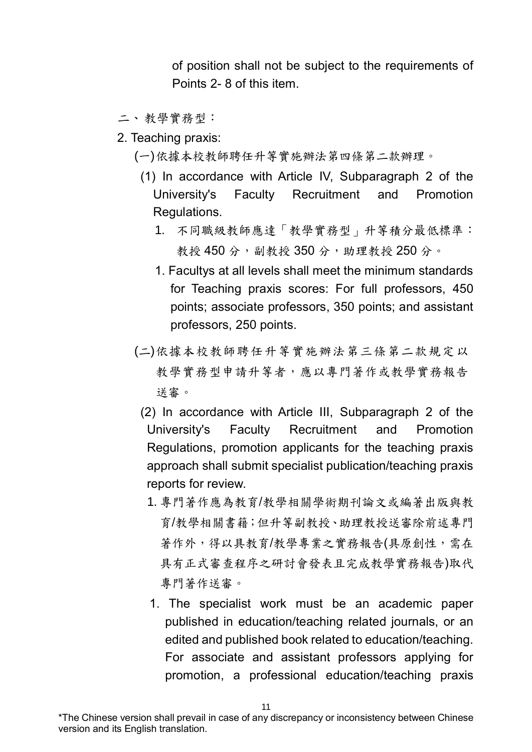of position shall not be subject to the requirements of Points 2- 8 of this item.

- 二、教學實務型:
- 2. Teaching praxis:
	- (一)依據本校教師聘任升等實施辦法第四條第二款辦理。
		- (1) In accordance with Article IV, Subparagraph 2 of the University's Faculty Recruitment and Promotion Regulations.
			- 1. 不同職級教師應達「教學實務型」升等積分最低標準: 教授 450 分,副教授 350 分,助理教授 250 分。
			- 1. Facultys at all levels shall meet the minimum standards for Teaching praxis scores: For full professors, 450 points; associate professors, 350 points; and assistant professors, 250 points.
	- (二)依據本校教師聘任升等實施辦法第三條第二款規定以 教學實務型申請升等者,應以專門著作或教學實務報告 送審。
		- (2) In accordance with Article III, Subparagraph 2 of the University's Faculty Recruitment and Promotion Regulations, promotion applicants for the teaching praxis approach shall submit specialist publication/teaching praxis reports for review.
			- 1. 專門著作應為教育/教學相關學術期刊論文或編著出版與教 育/教學相關書籍;但升等副教授、助理教授送審除前述專門 著作外,得以具教育/教學專業之實務報告(具原創性,需在 具有正式審查程序之研討會發表且完成教學實務報告)取代 專門著作送審。
			- 1. The specialist work must be an academic paper published in education/teaching related journals, or an edited and published book related to education/teaching. For associate and assistant professors applying for promotion, a professional education/teaching praxis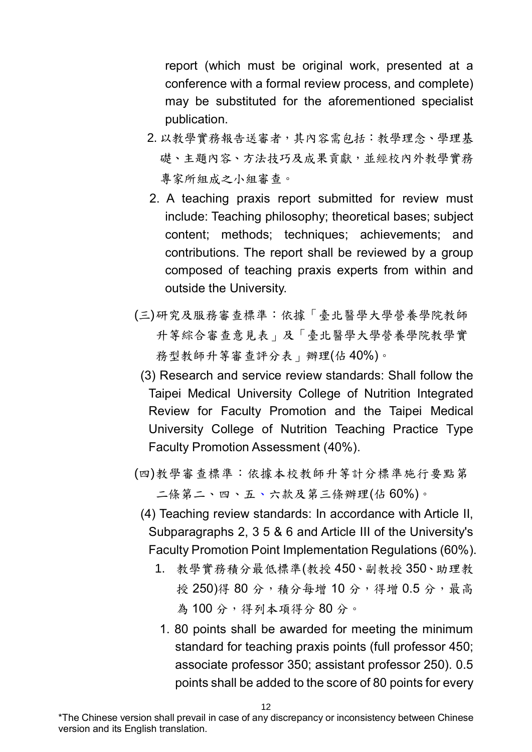report (which must be original work, presented at a conference with a formal review process, and complete) may be substituted for the aforementioned specialist publication.

- 2. 以教學實務報告送審者,其內容需包括:教學理念、學理基 礎、主題內容、方法技巧及成果貢獻,並經校內外教學實務 專家所組成之小組審查。
- 2. A teaching praxis report submitted for review must include: Teaching philosophy; theoretical bases; subject content; methods; techniques; achievements; and contributions. The report shall be reviewed by a group composed of teaching praxis experts from within and outside the University.
- (三)研究及服務審查標準:依據「臺北醫學大學營養學院教師 升等綜合審查意見表」及「臺北醫學大學營養學院教學實 務型教師升等審查評分表」辦理(佔 40%)。
- (3) Research and service review standards: Shall follow the Taipei Medical University College of Nutrition Integrated Review for Faculty Promotion and the Taipei Medical University College of Nutrition Teaching Practice Type Faculty Promotion Assessment (40%).
- (四)教學審查標準:依據本校教師升等計分標準施行要點第 二條第二、四、五、六款及第三條辦理(佔 60%)。
	- (4) Teaching review standards: In accordance with Article II, Subparagraphs 2, 3 5 & 6 and Article III of the University's Faculty Promotion Point Implementation Regulations (60%).
		- 1. 教學實務積分最低標準(教授 450、副教授 350、助理教 授 250)得 80 分,積分每增 10 分,得增 0.5 分,最高 為100分,得列本項得分80分。
		- 1. 80 points shall be awarded for meeting the minimum standard for teaching praxis points (full professor 450; associate professor 350; assistant professor 250). 0.5 points shall be added to the score of 80 points for every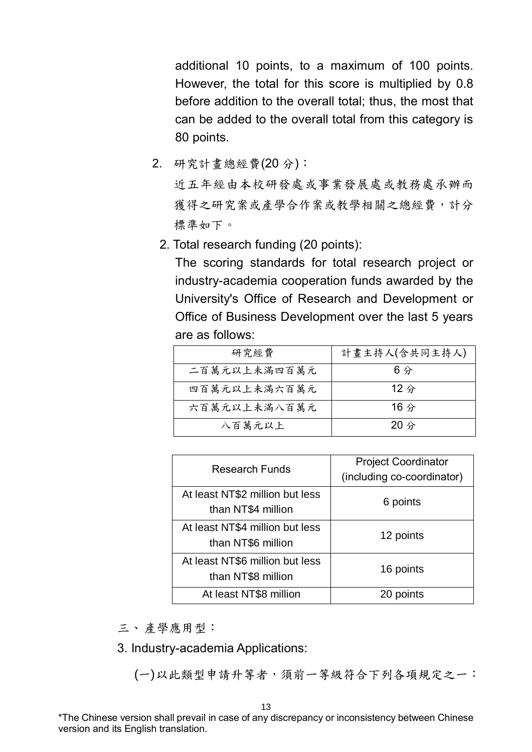additional 10 points, to a maximum of 100 points. However, the total for this score is multiplied by 0.8 before addition to the overall total; thus, the most that can be added to the overall total from this category is 80 points.

2. 研究計畫總經費(20 分):

近五年經由本校研發處或事業發展處或教務處承辦而 獲得之研究案或產學合作案或教學相關之總經費,計分 標準如下。

2. Total research funding (20 points):

The scoring standards for total research project or industry-academia cooperation funds awarded by the University's Office of Research and Development or Office of Business Development over the last 5 years are as follows:

| 研究經費         | 計畫主持人(含共同主持人)  |
|--------------|----------------|
| 二百萬元以上未滿四百萬元 | 6分             |
| 四百萬元以上未滿六百萬元 | $12$ 分         |
| 六百萬元以上未滿八百萬元 | 16 $\hat{\pi}$ |
| 八百萬元以上       | $20$ 分         |

| <b>Research Funds</b>           | <b>Project Coordinator</b> |  |  |
|---------------------------------|----------------------------|--|--|
|                                 | (including co-coordinator) |  |  |
| At least NT\$2 million but less | 6 points                   |  |  |
| than NT\$4 million              |                            |  |  |
| At least NT\$4 million but less | 12 points                  |  |  |
| than NT\$6 million              |                            |  |  |
| At least NT\$6 million but less | 16 points                  |  |  |
| than NT\$8 million              |                            |  |  |
| At least NT\$8 million          | 20 points                  |  |  |

三、產學應用型:

3. Industry-academia Applications:

(一)以此類型申請升等者,須前一等級符合下列各項規定之一: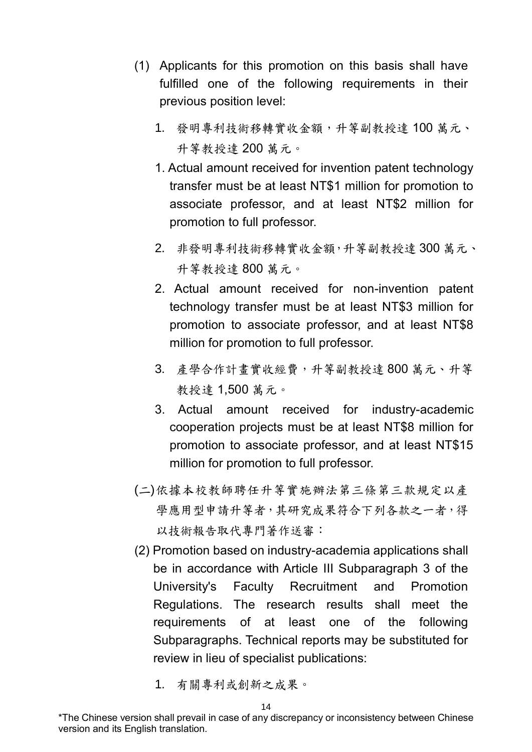- (1) Applicants for this promotion on this basis shall have fulfilled one of the following requirements in their previous position level:
	- 1. 發明專利技術移轉實收金額,升等副教授達 100 萬元、 升等教授達 200 萬元。
	- 1. Actual amount received for invention patent technology transfer must be at least NT\$1 million for promotion to associate professor, and at least NT\$2 million for promotion to full professor.
	- 2. 非發明專利技術移轉實收金額,升等副教授達 300 萬元、 升等教授達 800 萬元。
	- 2. Actual amount received for non-invention patent technology transfer must be at least NT\$3 million for promotion to associate professor, and at least NT\$8 million for promotion to full professor.
	- 3. 產學合作計畫實收經費,升等副教授達 800 萬元、升等 教授達 1,500 萬元。
	- 3. Actual amount received for industry-academic cooperation projects must be at least NT\$8 million for promotion to associate professor, and at least NT\$15 million for promotion to full professor.
- (二)依據本校教師聘任升等實施辦法第三條第三款規定以產 學應用型申請升等者,其研究成果符合下列各款之一者,得 以技術報告取代專門著作送審:
- (2) Promotion based on industry-academia applications shall be in accordance with Article III Subparagraph 3 of the University's Faculty Recruitment and Promotion Regulations. The research results shall meet the requirements of at least one of the following Subparagraphs. Technical reports may be substituted for review in lieu of specialist publications:
	- 1. 有關專利或創新之成果。

<sup>\*</sup>The Chinese version shall prevail in case of any discrepancy or inconsistency between Chinese version and its English translation.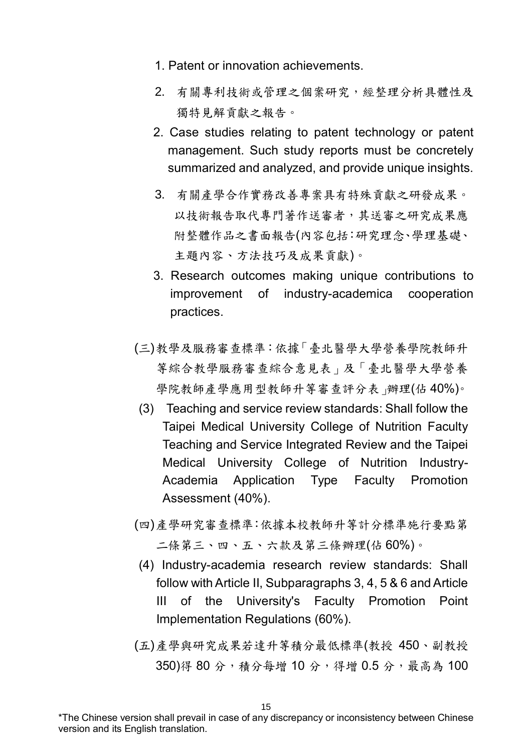- 1. Patent or innovation achievements.
- 2. 有關專利技術或管理之個案研究,經整理分析具體性及 獨特見解貢獻之報告。
- 2. Case studies relating to patent technology or patent management. Such study reports must be concretely summarized and analyzed, and provide unique insights.
- 3. 有關產學合作實務改善專案具有特殊貢獻之研發成果。 以技術報告取代專門著作送審者,其送審之研究成果應 附整體作品之書面報告(內容包括:研究理念、學理基礎、 主題內容、方法技巧及成果貢獻)。
- 3. Research outcomes making unique contributions to improvement of industry-academica cooperation practices.
- (三)教學及服務審查標準:依據「臺北醫學大學營養學院教師升 等綜合教學服務審查綜合意見表」及「臺北醫學大學營養 學院教師產學應用型教師升等審查評分表」辦理(佔 40%)。
- (3) Teaching and service review standards: Shall follow the Taipei Medical University College of Nutrition Faculty Teaching and Service Integrated Review and the Taipei Medical University College of Nutrition Industry-Academia Application Type Faculty Promotion Assessment (40%).
- (四)產學研究審查標準:依據本校教師升等計分標準施行要點第 二條第三、四、五、六款及第三條辦理(佔 60%)。
- (4) Industry-academia research review standards: Shall follow with Article II, Subparagraphs 3, 4, 5 & 6 and Article III of the University's Faculty Promotion Point Implementation Regulations (60%).
- (五)產學與研究成果若達升等積分最低標準(教授 450、副教授 350)得 80 分,積分每增 10 分,得增 0.5 分,最高為 100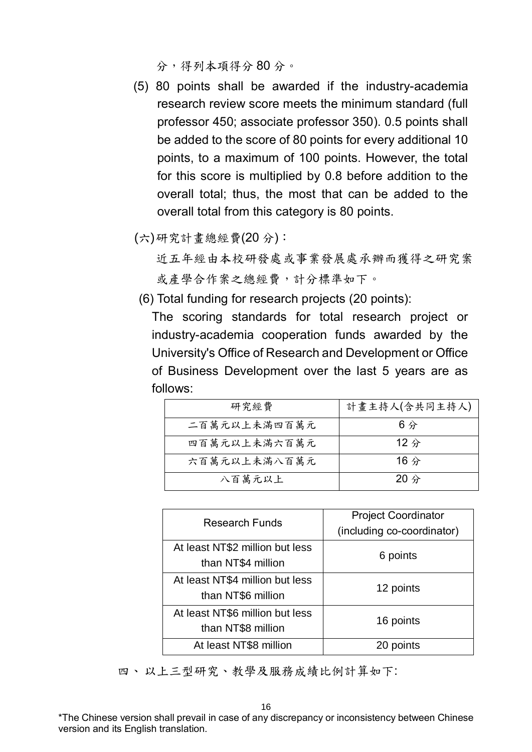分,得列本項得分 80 分。

- (5) 80 points shall be awarded if the industry-academia research review score meets the minimum standard (full professor 450; associate professor 350). 0.5 points shall be added to the score of 80 points for every additional 10 points, to a maximum of 100 points. However, the total for this score is multiplied by 0.8 before addition to the overall total; thus, the most that can be added to the overall total from this category is 80 points.
- (六)研究計畫總經費(20 分):

近五年經由本校研發處或事業發展處承辦而獲得之研究案 或產學合作案之總經費,計分標準如下。

(6) Total funding for research projects (20 points):

The scoring standards for total research project or industry-academia cooperation funds awarded by the University's Office of Research and Development or Office of Business Development over the last 5 years are as follows:

| 研究經費         | 計畫主持人(含共同主持人)  |
|--------------|----------------|
| 二百萬元以上未滿四百萬元 | 6分             |
| 四百萬元以上未滿六百萬元 | $12$ 分         |
| 六百萬元以上未滿八百萬元 | 16 $\hat{\pi}$ |
| 八百萬元以上       | $20$ 分         |

| <b>Research Funds</b>           | <b>Project Coordinator</b> |  |  |
|---------------------------------|----------------------------|--|--|
|                                 | (including co-coordinator) |  |  |
| At least NT\$2 million but less |                            |  |  |
| than NT\$4 million              | 6 points                   |  |  |
| At least NT\$4 million but less | 12 points                  |  |  |
| than NT\$6 million              |                            |  |  |
| At least NT\$6 million but less |                            |  |  |
| than NT\$8 million              | 16 points                  |  |  |
| At least NT\$8 million          | 20 points                  |  |  |

四、以上三型研究、教學及服務成績比例計算如下: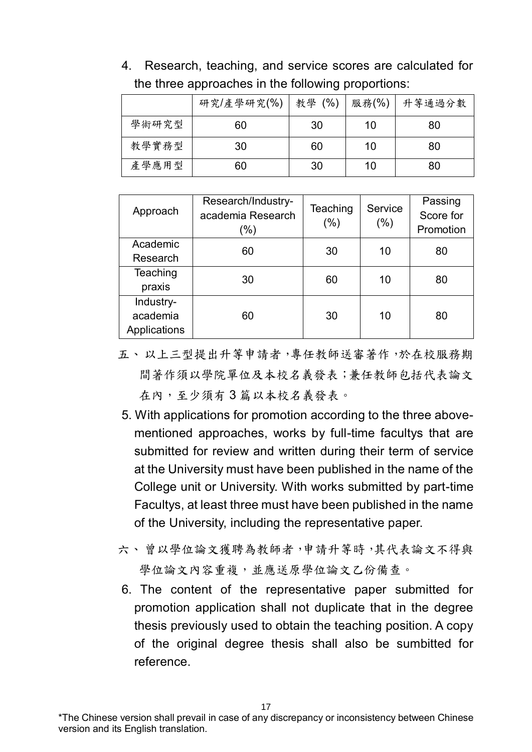| the three approaches in the following proportions: |    |    |    |    |  |  |  |
|----------------------------------------------------|----|----|----|----|--|--|--|
| 研究/產學研究(%)   教學 (%)   服務(%)   升等通過分數               |    |    |    |    |  |  |  |
| 學術研究型                                              | 60 | 30 | 10 | 80 |  |  |  |

教學實務型 30 160 10 30

產學應用型 60 30 10 80

|  |  | 4. Research, teaching, and service scores are calculated for |  |  |
|--|--|--------------------------------------------------------------|--|--|
|  |  | the three approaches in the following proportions:           |  |  |

|              | Research/Industry- | Teaching | Service | Passing   |  |
|--------------|--------------------|----------|---------|-----------|--|
| Approach     | academia Research  |          |         | Score for |  |
|              | (%)                | $(\% )$  | (%)     | Promotion |  |
| Academic     | 60                 | 30       | 10      | 80        |  |
| Research     |                    |          |         |           |  |
| Teaching     | 30                 | 60       | 10      | 80        |  |
| praxis       |                    |          |         |           |  |
| Industry-    |                    |          |         |           |  |
| academia     | 60                 | 30       | 10      | 80        |  |
| Applications |                    |          |         |           |  |

- 五、以上三型提出升等申請者,專任教師送審著作,於在校服務期 間著作須以學院單位及本校名義發表;兼任教師包括代表論文 在內,至少須有3篇以本校名義發表。
- 5. With applications for promotion according to the three abovementioned approaches, works by full-time facultys that are submitted for review and written during their term of service at the University must have been published in the name of the College unit or University. With works submitted by part-time Facultys, at least three must have been published in the name of the University, including the representative paper.
- 六、曾以學位論文獲聘為教師者,申請升等時,其代表論文不得與 學位論文內容重複,並應送原學位論文乙份備查。
- 6. The content of the representative paper submitted for promotion application shall not duplicate that in the degree thesis previously used to obtain the teaching position. A copy of the original degree thesis shall also be sumbitted for reference.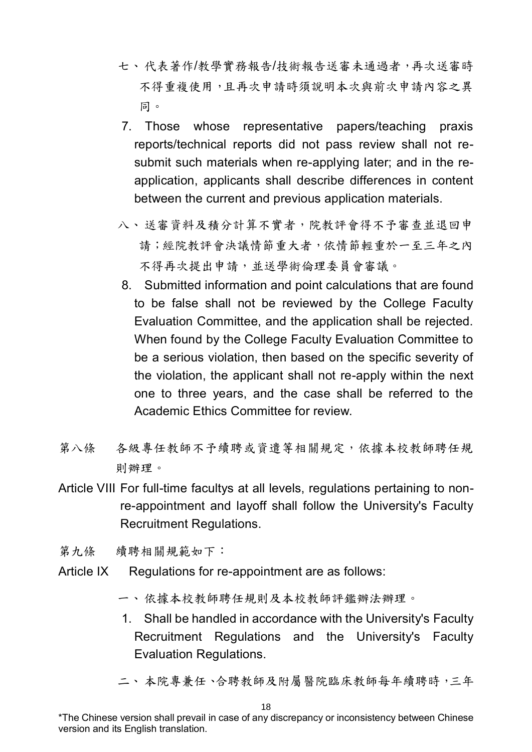- 七、代表著作/教學實務報告/技術報告送審未通過者,再次送審時 不得重複使用,且再次申請時須說明本次與前次申請內容之異 同。
- 7. Those whose representative papers/teaching praxis reports/technical reports did not pass review shall not resubmit such materials when re-applying later; and in the reapplication, applicants shall describe differences in content between the current and previous application materials.
- 八、送審資料及積分計算不實者,院教評會得不予審查並退回申 請;經院教評會決議情節重大者,依情節輕重於一至三年之內 不得再次提出申請,並送學術倫理委員會審議。
- 8. Submitted information and point calculations that are found to be false shall not be reviewed by the College Faculty Evaluation Committee, and the application shall be rejected. When found by the College Faculty Evaluation Committee to be a serious violation, then based on the specific severity of the violation, the applicant shall not re-apply within the next one to three years, and the case shall be referred to the Academic Ethics Committee for review.
- 第八條 各級專任教師不予續聘或資遣等相關規定,依據本校教師聘任規 則辦理。
- Article VIII For full-time facultys at all levels, regulations pertaining to nonre-appointment and layoff shall follow the University's Faculty Recruitment Regulations.

第九條 續聘相關規範如下:

- Article IX Regulations for re-appointment are as follows:
	- 一、依據本校教師聘任規則及本校教師評鑑辦法辦理。
	- 1. Shall be handled in accordance with the University's Faculty Recruitment Regulations and the University's Faculty Evaluation Regulations.
	- 二、 本院專兼任、合聘教師及附屬醫院臨床教師每年續聘時,三年